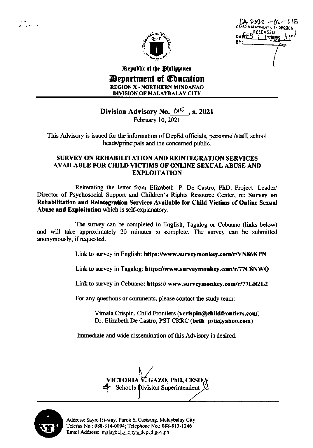*-2022 – 6*2–015 DATEEB PELEASED ED MALAYBALAY CITY DIVISION ) yint

Republic of the Philippines *Devartment of Education* **REGION X - NORTHERN MINDANAO DIVISION OF MALAYBALAY CITY** 

## Division Advisory No.  $0^{15}$ , s. 2021

February 10, 2021

This Advisory is issued for the information of DepEd officials, personnel/staff, school heads/principals and the concerned public.

## SURVEY ON REHABILITATION AND REINTEGRATION SERVICES **AVAILABLE FOR CHILD VICTIMS OF ONLINE SEXUAL ABUSE AND EXPLOITATION**

Reiterating the letter from Elizabeth P. De Castro, PhD, Project Leader/ Director of Psychosocial Support and Children's Rights Resource Center, re: Survey on Rehabilitation and Reintegration Services Available for Child Victims of Online Sexual Abuse and Exploitation which is self-explanatory.

The survey can be completed in English, Tagalog or Cebuano (links below) and will take approximately 20 minutes to complete. The survey can be submitted anonymously, if requested.

Link to survey in English: https://www.surveymonkey.com/r/VN86KPN

Link to survey in Tagalog: https://www.surveymonkey.com/r/77C8NWQ

Link to survey in Cebuano: https:// www.surveymonkey.com/r/77LR2L2

For any questions or comments, please contact the study team:

Vimala Crispin, Child Frontiers (verispin@childfrontiers.com) Dr. Elizabeth De Castro, PST CRRC (beth pst@yahoo.com)

Immediate and wide dissemination of this Advisory is desired.

VICTORIA|V. GAZO, PhD, CESO,Y **Schools Division Superintendent** 



Address: Sayre Hi-way, Purok 6, Casisang, Malaybalay City Telefax No.: 088-314-0094; Telephone No.: 088-813-1246 Email Address: malaybalay.city@deped.gov.ph